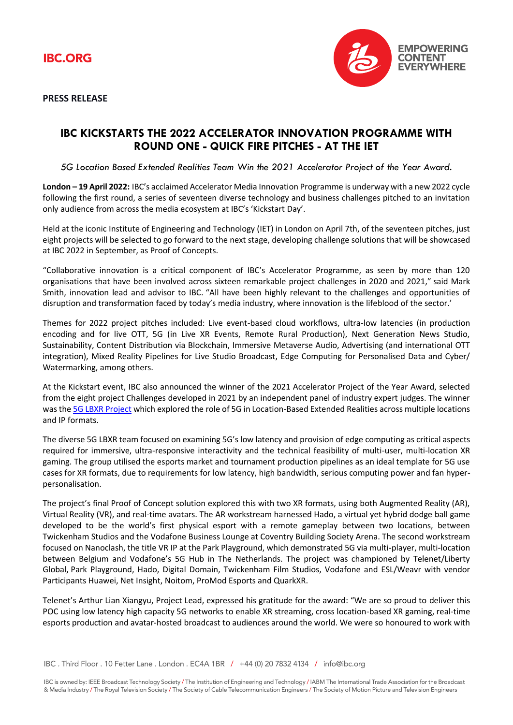



**PRESS RELEASE**

## **IBC KICKSTARTS THE 2022 ACCELERATOR INNOVATION PROGRAMME WITH ROUND ONE - QUICK FIRE PITCHES - AT THE IET**

*5G Location Based Extended Realities Team Win the 2021 Accelerator Project of the Year Award.*

**London – 19 April 2022:** IBC's acclaimed Accelerator Media Innovation Programme is underway with a new 2022 cycle following the first round, a series of seventeen diverse technology and business challenges pitched to an invitation only audience from across the media ecosystem at IBC's 'Kickstart Day'.

Held at the iconic Institute of Engineering and Technology (IET) in London on April 7th, of the seventeen pitches, just eight projects will be selected to go forward to the next stage, developing challenge solutions that will be showcased at IBC 2022 in September, as Proof of Concepts.

"Collaborative innovation is a critical component of IBC's Accelerator Programme, as seen by more than 120 organisations that have been involved across sixteen remarkable project challenges in 2020 and 2021," said Mark Smith, innovation lead and advisor to IBC. "All have been highly relevant to the challenges and opportunities of disruption and transformation faced by today's media industry, where innovation is the lifeblood of the sector.'

Themes for 2022 project pitches included: Live event-based cloud workflows, ultra-low latencies (in production encoding and for live OTT, 5G (in Live XR Events, Remote Rural Production), Next Generation News Studio, Sustainability, Content Distribution via Blockchain, Immersive Metaverse Audio, Advertising (and international OTT integration), Mixed Reality Pipelines for Live Studio Broadcast, Edge Computing for Personalised Data and Cyber/ Watermarking, among others.

At the Kickstart event, IBC also announced the winner of the 2021 Accelerator Project of the Year Award, selected from the eight project Challenges developed in 2021 by an independent panel of industry expert judges. The winner was the [5G LBXR Project](https://show.ibc.org/exhibition/ibc-accelerator-media-innovation-programme/5g-lbxr) which explored the role of 5G in Location-Based Extended Realities across multiple locations and IP formats.

The diverse 5G LBXR team focused on examining 5G's low latency and provision of edge computing as critical aspects required for immersive, ultra-responsive interactivity and the technical feasibility of multi-user, multi-location XR gaming. The group utilised the esports market and tournament production pipelines as an ideal template for 5G use cases for XR formats, due to requirements for low latency, high bandwidth, serious computing power and fan hyperpersonalisation.

The project's final Proof of Concept solution explored this with two XR formats, using both Augmented Reality (AR), Virtual Reality (VR), and real-time avatars. The AR workstream harnessed Hado, a virtual yet hybrid dodge ball game developed to be the world's first physical esport with a remote gameplay between two locations, between Twickenham Studios and the Vodafone Business Lounge at Coventry Building Society Arena. The second workstream focused on Nanoclash, the title VR IP at the Park Playground, which demonstrated 5G via multi-player, multi-location between Belgium and Vodafone's 5G Hub in The Netherlands. The project was championed by Telenet/Liberty Global, Park Playground, Hado, Digital Domain, Twickenham Film Studios, Vodafone and ESL/Weavr with vendor Participants Huawei, Net Insight, Noitom, ProMod Esports and QuarkXR.

Telenet's Arthur Lian Xiangyu, Project Lead, expressed his gratitude for the award: "We are so proud to deliver this POC using low latency high capacity 5G networks to enable XR streaming, cross location-based XR gaming, real-time esports production and avatar-hosted broadcast to audiences around the world. We were so honoured to work with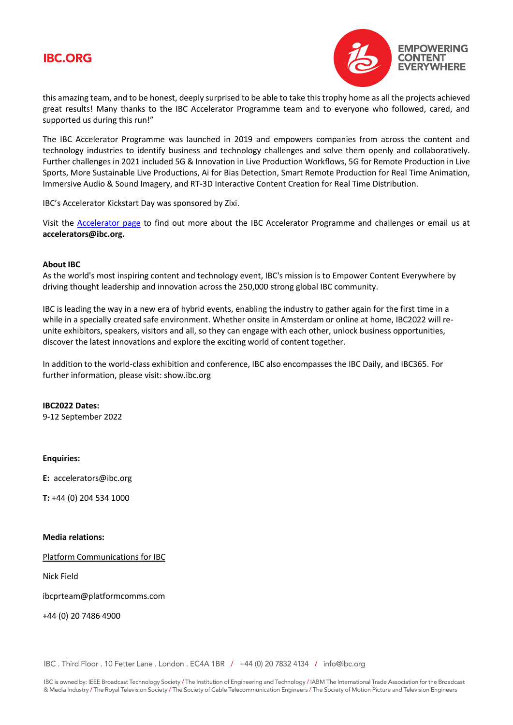# **IBC.ORG**



this amazing team, and to be honest, deeply surprised to be able to take this trophy home as all the projects achieved great results! Many thanks to the IBC Accelerator Programme team and to everyone who followed, cared, and supported us during this run!"

The IBC Accelerator Programme was launched in 2019 and empowers companies from across the content and technology industries to identify business and technology challenges and solve them openly and collaboratively. Further challenges in 2021 included 5G & Innovation in Live Production Workflows, 5G for Remote Production in Live Sports, More Sustainable Live Productions, Ai for Bias Detection, Smart Remote Production for Real Time Animation, Immersive Audio & Sound Imagery, and RT-3D Interactive Content Creation for Real Time Distribution.

IBC's Accelerator Kickstart Day was sponsored by Zixi.

Visit the [Accelerator page](https://show.ibc.org/exhibition/ibc-accelerator-media-innovation-programme) to find out more about the IBC Accelerator Programme and challenges or email us at **accelerators@ibc.org.**

### **About IBC**

As the world's most inspiring content and technology event, IBC's mission is to Empower Content Everywhere by driving thought leadership and innovation across the 250,000 strong global IBC community.

IBC is leading the way in a new era of hybrid events, enabling the industry to gather again for the first time in a while in a specially created safe environment. Whether onsite in Amsterdam or online at home, IBC2022 will reunite exhibitors, speakers, visitors and all, so they can engage with each other, unlock business opportunities, discover the latest innovations and explore the exciting world of content together.

In addition to the world-class exhibition and conference, IBC also encompasses the IBC Daily, and IBC365. For further information, please visit: show.ibc.org

**IBC2022 Dates:** 9-12 September 2022

### **Enquiries:**

**E:** accelerators@ibc.org

**T:** +44 (0) 204 534 1000

#### **Media relations:**

[Platform Communications for IBC](http://ibcprteam@platformcomms.com)

Nick Field

ibcprteam@platformcomms.com

+44 (0) 20 7486 4900

IBC . Third Floor . 10 Fetter Lane . London . EC4A 1BR / +44 (0) 20 7832 4134 / info@ibc.org